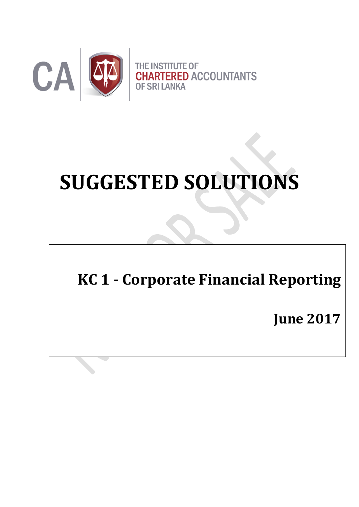

# **SUGGESTED SOLUTIONS**

# **KC 1 - Corporate Financial Reporting**

**June 2017**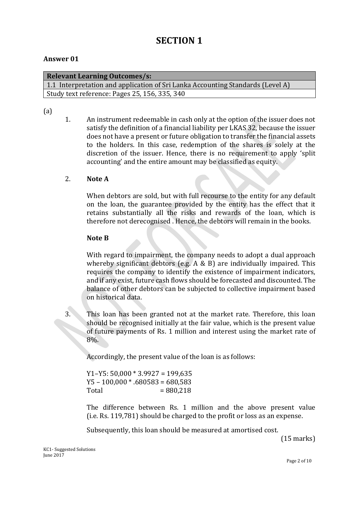### **SECTION 1**

#### **Answer 01**

| <b>Relevant Learning Outcomes/s:</b>                                           |
|--------------------------------------------------------------------------------|
| 1.1 Interpretation and application of Sri Lanka Accounting Standards (Level A) |
| Study text reference: Pages 25, 156, 335, 340                                  |

#### (a)

1. An instrument redeemable in cash only at the option of the issuer does not satisfy the definition of a financial liability per LKAS 32, because the issuer does not have a present or future obligation to transfer the financial assets to the holders. In this case, redemption of the shares is solely at the discretion of the issuer. Hence, there is no requirement to apply 'split accounting' and the entire amount may be classified as equity.

#### 2. **Note A**

When debtors are sold, but with full recourse to the entity for any default on the loan, the guarantee provided by the entity has the effect that it retains substantially all the risks and rewards of the loan, which is therefore not derecognised . Hence, the debtors will remain in the books.

#### **Note B**

With regard to impairment, the company needs to adopt a dual approach whereby significant debtors (e.g. A & B) are individually impaired. This requires the company to identify the existence of impairment indicators, and if any exist, future cash flows should be forecasted and discounted. The balance of other debtors can be subjected to collective impairment based on historical data.

3. This loan has been granted not at the market rate. Therefore, this loan should be recognised initially at the fair value, which is the present value of future payments of Rs. 1 million and interest using the market rate of 8%.

Accordingly, the present value of the loan is as follows:

Y1-Y5:  $50,000 * 3.9927 = 199,635$  $Y5 - 100,000 * .680583 = 680,583$  $Total = 880.218$ 

The difference between Rs. 1 million and the above present value (i.e. Rs. 119,781) should be charged to the profit or loss as an expense.

Subsequently, this loan should be measured at amortised cost.

(15 marks)

KC1- Suggested Solutions June 2017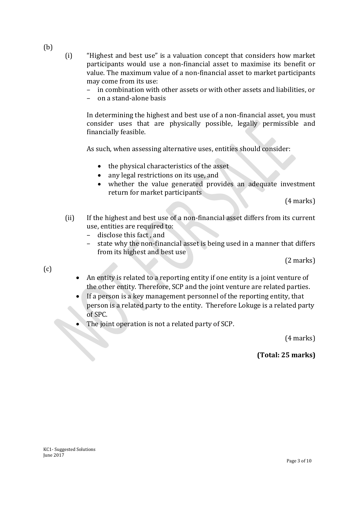- (b)
- (i) "Highest and best use" is a valuation concept that considers how market participants would use a non-financial asset to maximise its benefit or value. The maximum value of a non-financial asset to market participants may come from its use:
	- in combination with other assets or with other assets and liabilities, or
	- on a stand-alone basis

In determining the highest and best use of a non-financial asset, you must consider uses that are physically possible, legally permissible and financially feasible.

As such, when assessing alternative uses, entities should consider:

- the physical characteristics of the asset
- any legal restrictions on its use, and
- whether the value generated provides an adequate investment return for market participants

(4 marks)

- (ii) If the highest and best use of a non-financial asset differs from its current use, entities are required to:
	- disclose this fact , and
	- state why the non-financial asset is being used in a manner that differs from its highest and best use

(2 marks)

(c)

- An entity is related to a reporting entity if one entity is a joint venture of the other entity. Therefore, SCP and the joint venture are related parties.
- If a person is a key management personnel of the reporting entity, that person is a related party to the entity. Therefore Lokuge is a related party of SPC.
- The joint operation is not a related party of SCP.

(4 marks)

**(Total: 25 marks)**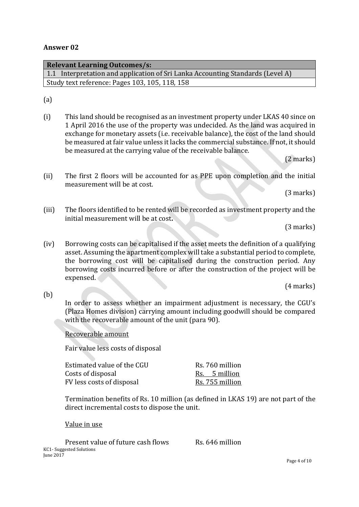#### **Answer 02**

| <b>Relevant Learning Outcomes/s:</b>                                           |
|--------------------------------------------------------------------------------|
| 1.1 Interpretation and application of Sri Lanka Accounting Standards (Level A) |
| Study text reference: Pages 103, 105, 118, 158                                 |
|                                                                                |

(a)

(i) This land should be recognised as an investment property under LKAS 40 since on 1 April 2016 the use of the property was undecided. As the land was acquired in exchange for monetary assets (i.e. receivable balance), the cost of the land should be measured at fair value unless it lacks the commercial substance. If not, it should be measured at the carrying value of the receivable balance.

(2 marks)

(ii) The first 2 floors will be accounted for as PPE upon completion and the initial measurement will be at cost.

(3 marks)

(iii) The floors identified to be rented will be recorded as investment property and the initial measurement will be at cost**.**

(3 marks)

(iv) Borrowing costs can be capitalised if the asset meets the definition of a qualifying asset. Assuming the apartment complex will take a substantial period to complete, the borrowing cost will be capitalised during the construction period. Any borrowing costs incurred before or after the construction of the project will be expensed.

(4 marks)

(b)

In order to assess whether an impairment adjustment is necessary, the CGU's (Plaza Homes division) carrying amount including goodwill should be compared with the recoverable amount of the unit (para 90).

#### Recoverable amount

Fair value less costs of disposal

| Estimated value of the CGU | Rs. 760 million |
|----------------------------|-----------------|
| Costs of disposal          | Rs. 5 million   |
| FV less costs of disposal  | Rs. 755 million |

Termination benefits of Rs. 10 million (as defined in LKAS 19) are not part of the direct incremental costs to dispose the unit.

Value in use

KC1- Suggested Solutions June 2017 Present value of future cash flows Rs. 646 million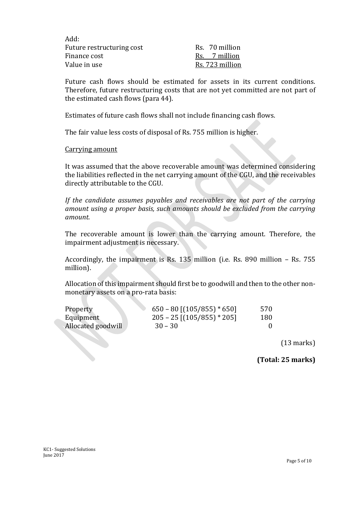| Add:                      |  |
|---------------------------|--|
| Future restructuring cost |  |
| Finance cost              |  |
| Value in use              |  |

Rs. 70 million Rs. 7 million Rs. 723 million

Future cash flows should be estimated for assets in its current conditions. Therefore, future restructuring costs that are not yet committed are not part of the estimated cash flows (para 44).

Estimates of future cash flows shall not include financing cash flows.

The fair value less costs of disposal of Rs. 755 million is higher.

#### Carrying amount

It was assumed that the above recoverable amount was determined considering the liabilities reflected in the net carrying amount of the CGU, and the receivables directly attributable to the CGU.

*If the candidate assumes payables and receivables are not part of the carrying amount using a proper basis, such amounts should be excluded from the carrying amount.*

The recoverable amount is lower than the carrying amount. Therefore, the impairment adjustment is necessary.

Accordingly, the impairment is Rs. 135 million (i.e. Rs. 890 million – Rs. 755 million).

Allocation of this impairment should first be to goodwill and then to the other nonmonetary assets on a pro-rata basis:

| Property           | $650 - 80$ [ $(105/855) * 650$ ] | 570 |
|--------------------|----------------------------------|-----|
| Equipment          | $205 - 25$ [(105/855) * 205]     | 180 |
| Allocated goodwill | $30 - 30$                        |     |
|                    |                                  |     |
|                    |                                  |     |
|                    |                                  |     |

(13 marks)

**(Total: 25 marks)**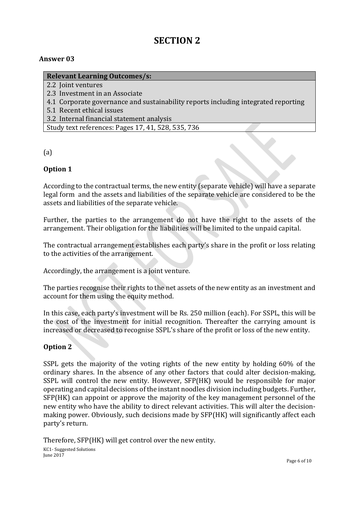## **SECTION 2**

#### **Answer 03**

#### **Relevant Learning Outcomes/s:**

- 2.2 Joint ventures
- 2.3 Investment in an Associate
- 4.1 Corporate governance and sustainability reports including integrated reporting
- 5.1 Recent ethical issues
- 3.2 Internal financial statement analysis

Study text references: Pages 17, 41, 528, 535, 736

(a)

#### **Option 1**

According to the contractual terms, the new entity (separate vehicle) will have a separate legal form and the assets and liabilities of the separate vehicle are considered to be the assets and liabilities of the separate vehicle.

Further, the parties to the arrangement do not have the right to the assets of the arrangement. Their obligation for the liabilities will be limited to the unpaid capital.

The contractual arrangement establishes each party's share in the profit or loss relating to the activities of the arrangement.

Accordingly, the arrangement is a joint venture.

The parties recognise their rights to the net assets of the new entity as an investment and account for them using the equity method.

In this case, each party's investment will be Rs. 250 million (each). For SSPL, this will be the cost of the investment for initial recognition. Thereafter the carrying amount is increased or decreased to recognise SSPL's share of the profit or loss of the new entity.

#### **Option 2**

SSPL gets the majority of the voting rights of the new entity by holding 60% of the ordinary shares. In the absence of any other factors that could alter decision-making, SSPL will control the new entity. However, SFP(HK) would be responsible for major operating and capital decisions of the instant noodles division including budgets. Further, SFP(HK) can appoint or approve the majority of the key management personnel of the new entity who have the ability to direct relevant activities. This will alter the decisionmaking power. Obviously, such decisions made by SFP(HK) will significantly affect each party's return.

Therefore, SFP(HK) will get control over the new entity.

KC1- Suggested Solutions June 2017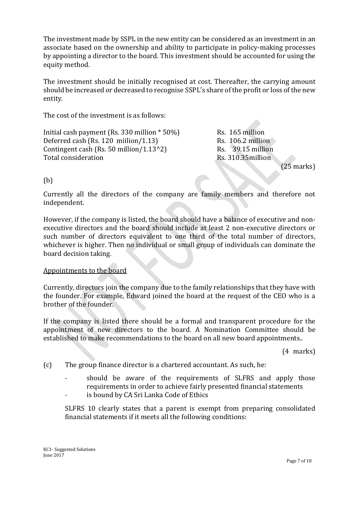The investment made by SSPL in the new entity can be considered as an investment in an associate based on the ownership and ability to participate in policy-making processes by appointing a director to the board. This investment should be accounted for using the equity method.

The investment should be initially recognised at cost. Thereafter, the carrying amount should be increased or decreased to recognise SSPL's share of the profit or loss of the new entity.

The cost of the investment is as follows:

Initial cash payment (Rs. 330 million  $*50\%$ ) Rs. 165 million Deferred cash (Rs. 120 miilion/1.13) Rs.  $106.2$  million Contingent cash (Rs. 50 million/1.13^2) Rs.  $39.15$  million Total consideration Total consideration

(25 marks)

(b)

Currently all the directors of the company are family members and therefore not independent.

However, if the company is listed, the board should have a balance of executive and nonexecutive directors and the board should include at least 2 non-executive directors or such number of directors equivalent to one third of the total number of directors, whichever is higher. Then no individual or small group of individuals can dominate the board decision taking.

#### Appointments to the board

Currently, directors join the company due to the family relationships that they have with the founder. For example, Edward joined the board at the request of the CEO who is a brother of the founder.

If the company is listed there should be a formal and transparent procedure for the appointment of new directors to the board. A Nomination Committee should be established to make recommendations to the board on all new board appointments..

(4 marks)

(c) The group finance director is a chartered accountant. As such, he:

- should be aware of the requirements of SLFRS and apply those requirements in order to achieve fairly presented financial statements
- is bound by CA Sri Lanka Code of Ethics

SLFRS 10 clearly states that a parent is exempt from preparing consolidated financial statements if it meets all the following conditions: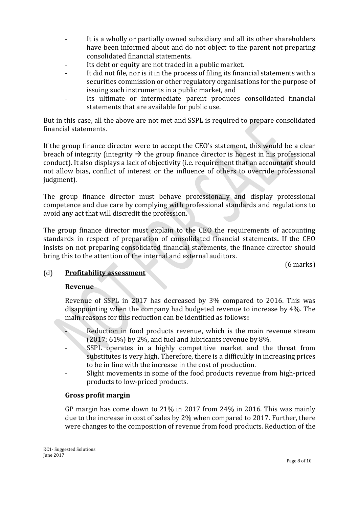- It is a wholly or partially owned subsidiary and all its other shareholders have been informed about and do not object to the parent not preparing consolidated financial statements.
- Its debt or equity are not traded in a public market.
- It did not file, nor is it in the process of filing its financial statements with a securities commission or other regulatory organisations for the purpose of issuing such instruments in a public market, and
- Its ultimate or intermediate parent produces consolidated financial statements that are available for public use.

But in this case, all the above are not met and SSPL is required to prepare consolidated financial statements.

If the group finance director were to accept the CEO's statement, this would be a clear breach of integrity (integrity  $\rightarrow$  the group finance director is honest in his professional conduct)**.** It also displays a lack of objectivity (i.e. requirement that an accountant should not allow bias, conflict of interest or the influence of others to override professional judgment).

The group finance director must behave professionally and display professional competence and due care by complying with professional standards and regulations to avoid any act that will discredit the profession.

The group finance director must explain to the CEO the requirements of accounting standards in respect of preparation of consolidated financial statements**.** If the CEO insists on not preparing consolidated financial statements, the finance director should bring this to the attention of the internal and external auditors.

(6 marks)

#### (d) **Profitability assessment**

#### **Revenue**

Revenue of SSPL in 2017 has decreased by 3% compared to 2016. This was disappointing when the company had budgeted revenue to increase by 4%. The main reasons for this reduction can be identified as follows**:**

- Reduction in food products revenue, which is the main revenue stream (2017: 61%) by 2%, and fuel and lubricants revenue by 8%.
- SSPL operates in a highly competitive market and the threat from substitutes is very high. Therefore, there is a difficultly in increasing prices to be in line with the increase in the cost of production.
- Slight movements in some of the food products revenue from high-priced products to low-priced products.

#### **Gross profit margin**

GP margin has come down to 21% in 2017 from 24% in 2016. This was mainly due to the increase in cost of sales by 2% when compared to 2017. Further, there were changes to the composition of revenue from food products. Reduction of the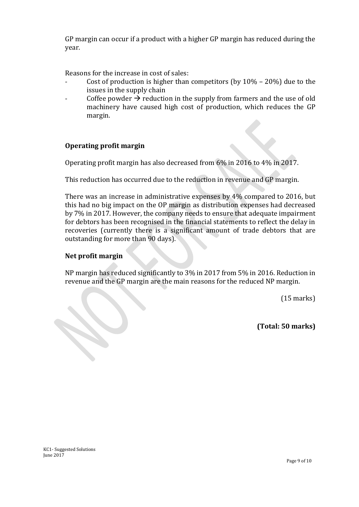GP margin can occur if a product with a higher GP margin has reduced during the year.

Reasons for the increase in cost of sales:

- Cost of production is higher than competitors (by  $10\%$   $20\%$ ) due to the issues in the supply chain
- Coffee powder  $\rightarrow$  reduction in the supply from farmers and the use of old machinery have caused high cost of production, which reduces the GP margin.

#### **Operating profit margin**

Operating profit margin has also decreased from 6% in 2016 to 4% in 2017.

This reduction has occurred due to the reduction in revenue and GP margin.

There was an increase in administrative expenses by 4% compared to 2016, but this had no big impact on the OP margin as distribution expenses had decreased by 7% in 2017. However, the company needs to ensure that adequate impairment for debtors has been recognised in the financial statements to reflect the delay in recoveries (currently there is a significant amount of trade debtors that are outstanding for more than 90 days).

#### **Net profit margin**

NP margin has reduced significantly to 3% in 2017 from 5% in 2016. Reduction in revenue and the GP margin are the main reasons for the reduced NP margin.

(15 marks)

**(Total: 50 marks)**